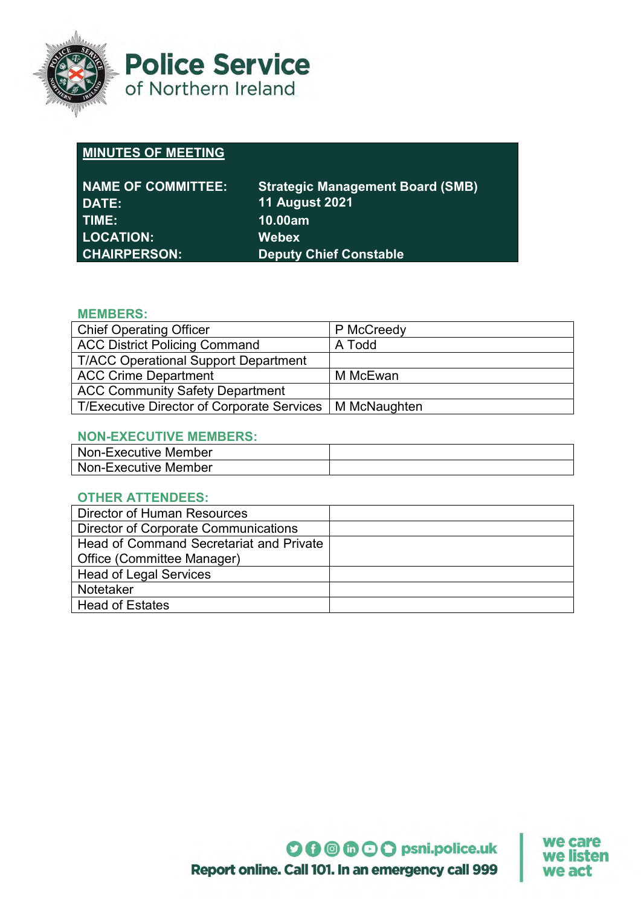

**Police Service** of Northern Ireland

# **MINUTES OF MEETING**

| <b>NAME OF COMMITTEE:</b>   | <b>Strategic Management Board (SMB)</b> |
|-----------------------------|-----------------------------------------|
| DATE:                       | <b>11 August 2021</b>                   |
| TIME:                       | 10.00am                                 |
| <b>LOCATION:</b>            | <b>Webex</b>                            |
| ∣ CHAIRPERSON: <sup>∣</sup> | <b>Deputy Chief Constable</b>           |

## **MEMBERS:**

| <b>Chief Operating Officer</b>                            | P McCreedy |  |
|-----------------------------------------------------------|------------|--|
| <b>ACC District Policing Command</b>                      | A Todd     |  |
| <b>T/ACC Operational Support Department</b>               |            |  |
| <b>ACC Crime Department</b>                               | M McEwan   |  |
| <b>ACC Community Safety Department</b>                    |            |  |
| T/Executive Director of Corporate Services   M McNaughten |            |  |

## **NON-EXECUTIVE MEMBERS:**

| Non-Executive Member |  |
|----------------------|--|
| Non-Executive Member |  |

## **OTHER ATTENDEES:**

| Director of Human Resources                 |  |
|---------------------------------------------|--|
| <b>Director of Corporate Communications</b> |  |
| Head of Command Secretariat and Private     |  |
| Office (Committee Manager)                  |  |
| <b>Head of Legal Services</b>               |  |
| <b>Notetaker</b>                            |  |
| <b>Head of Estates</b>                      |  |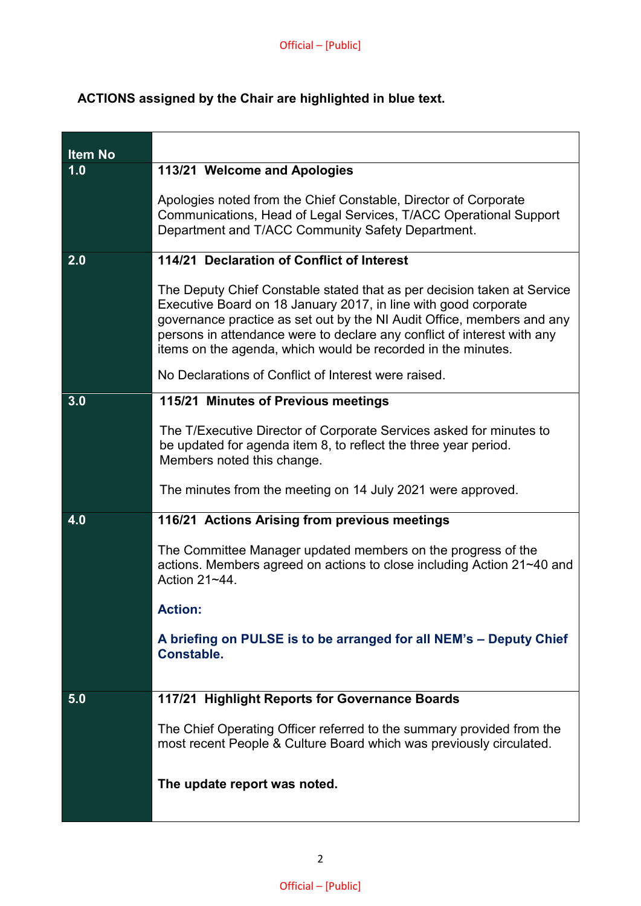## **ACTIONS assigned by the Chair are highlighted in blue text.**

| <b>Item No</b> |                                                                                                                                                                                                                                                                                                                                                                 |
|----------------|-----------------------------------------------------------------------------------------------------------------------------------------------------------------------------------------------------------------------------------------------------------------------------------------------------------------------------------------------------------------|
| 1.0            | 113/21 Welcome and Apologies                                                                                                                                                                                                                                                                                                                                    |
|                | Apologies noted from the Chief Constable, Director of Corporate<br>Communications, Head of Legal Services, T/ACC Operational Support<br>Department and T/ACC Community Safety Department.                                                                                                                                                                       |
| 2.0            | 114/21 Declaration of Conflict of Interest                                                                                                                                                                                                                                                                                                                      |
|                | The Deputy Chief Constable stated that as per decision taken at Service<br>Executive Board on 18 January 2017, in line with good corporate<br>governance practice as set out by the NI Audit Office, members and any<br>persons in attendance were to declare any conflict of interest with any<br>items on the agenda, which would be recorded in the minutes. |
|                | No Declarations of Conflict of Interest were raised.                                                                                                                                                                                                                                                                                                            |
| 3.0            | 115/21 Minutes of Previous meetings                                                                                                                                                                                                                                                                                                                             |
|                | The T/Executive Director of Corporate Services asked for minutes to<br>be updated for agenda item 8, to reflect the three year period.<br>Members noted this change.                                                                                                                                                                                            |
|                | The minutes from the meeting on 14 July 2021 were approved.                                                                                                                                                                                                                                                                                                     |
| 4.0            | 116/21 Actions Arising from previous meetings                                                                                                                                                                                                                                                                                                                   |
|                | The Committee Manager updated members on the progress of the<br>actions. Members agreed on actions to close including Action 21~40 and<br>Action 21~44                                                                                                                                                                                                          |
|                | <b>Action:</b>                                                                                                                                                                                                                                                                                                                                                  |
|                | A briefing on PULSE is to be arranged for all NEM's - Deputy Chief<br><b>Constable.</b>                                                                                                                                                                                                                                                                         |
| 5.0            | 117/21 Highlight Reports for Governance Boards                                                                                                                                                                                                                                                                                                                  |
|                |                                                                                                                                                                                                                                                                                                                                                                 |
|                | The Chief Operating Officer referred to the summary provided from the<br>most recent People & Culture Board which was previously circulated.                                                                                                                                                                                                                    |
|                | The update report was noted.                                                                                                                                                                                                                                                                                                                                    |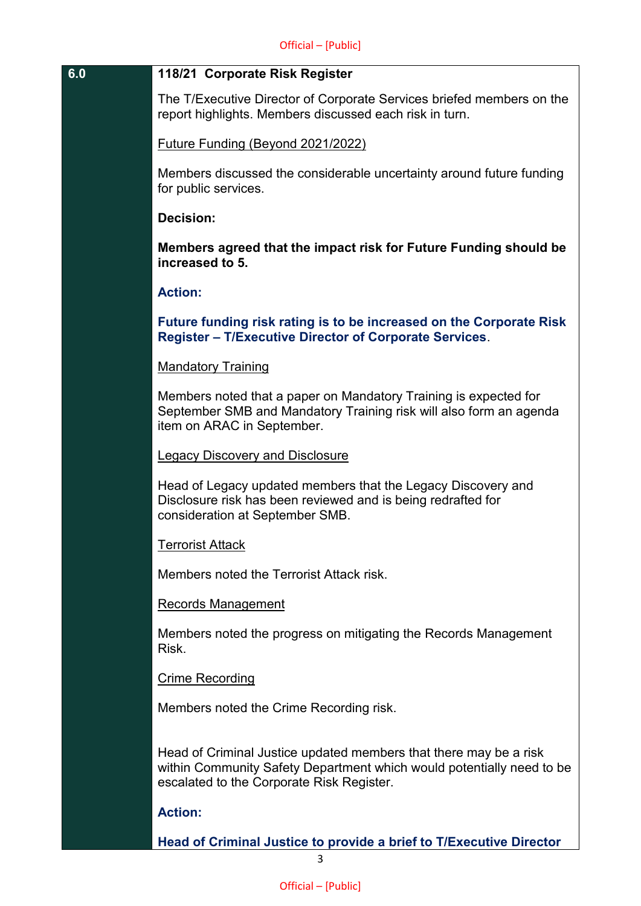#### **6.0 118/21 Corporate Risk Register**

The T/Executive Director of Corporate Services briefed members on the report highlights. Members discussed each risk in turn.

Future Funding (Beyond 2021/2022)

Members discussed the considerable uncertainty around future funding for public services.

## **Decision:**

**Members agreed that the impact risk for Future Funding should be increased to 5.**

#### **Action:**

**Future funding risk rating is to be increased on the Corporate Risk Register – T/Executive Director of Corporate Services**.

#### Mandatory Training

Members noted that a paper on Mandatory Training is expected for September SMB and Mandatory Training risk will also form an agenda item on ARAC in September.

#### Legacy Discovery and Disclosure

Head of Legacy updated members that the Legacy Discovery and Disclosure risk has been reviewed and is being redrafted for consideration at September SMB.

#### Terrorist Attack

Members noted the Terrorist Attack risk.

#### Records Management

Members noted the progress on mitigating the Records Management Risk.

#### Crime Recording

Members noted the Crime Recording risk.

Head of Criminal Justice updated members that there may be a risk within Community Safety Department which would potentially need to be escalated to the Corporate Risk Register.

## **Action:**

**Head of Criminal Justice to provide a brief to T/Executive Director**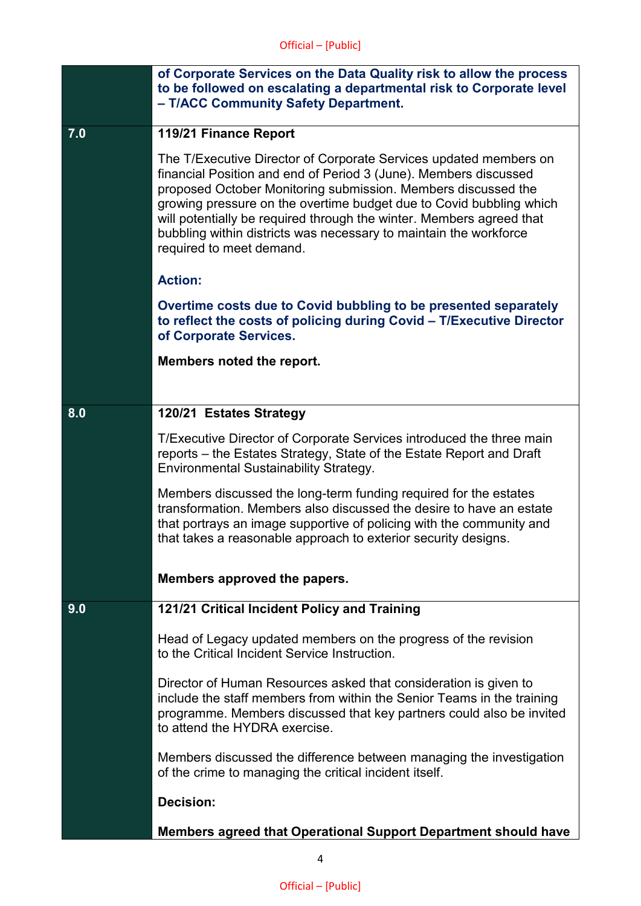|     | of Corporate Services on the Data Quality risk to allow the process<br>to be followed on escalating a departmental risk to Corporate level<br>- T/ACC Community Safety Department.                                                                                                                                                                                                                                                                     |
|-----|--------------------------------------------------------------------------------------------------------------------------------------------------------------------------------------------------------------------------------------------------------------------------------------------------------------------------------------------------------------------------------------------------------------------------------------------------------|
| 7.0 | 119/21 Finance Report                                                                                                                                                                                                                                                                                                                                                                                                                                  |
|     | The T/Executive Director of Corporate Services updated members on<br>financial Position and end of Period 3 (June). Members discussed<br>proposed October Monitoring submission. Members discussed the<br>growing pressure on the overtime budget due to Covid bubbling which<br>will potentially be required through the winter. Members agreed that<br>bubbling within districts was necessary to maintain the workforce<br>required to meet demand. |
|     | <b>Action:</b>                                                                                                                                                                                                                                                                                                                                                                                                                                         |
|     | Overtime costs due to Covid bubbling to be presented separately<br>to reflect the costs of policing during Covid - T/Executive Director<br>of Corporate Services.                                                                                                                                                                                                                                                                                      |
|     | Members noted the report.                                                                                                                                                                                                                                                                                                                                                                                                                              |
|     |                                                                                                                                                                                                                                                                                                                                                                                                                                                        |
| 8.0 | 120/21 Estates Strategy                                                                                                                                                                                                                                                                                                                                                                                                                                |
|     | T/Executive Director of Corporate Services introduced the three main<br>reports – the Estates Strategy, State of the Estate Report and Draft<br><b>Environmental Sustainability Strategy.</b>                                                                                                                                                                                                                                                          |
|     | Members discussed the long-term funding required for the estates<br>transformation. Members also discussed the desire to have an estate<br>that portrays an image supportive of policing with the community and<br>that takes a reasonable approach to exterior security designs.                                                                                                                                                                      |
|     | Members approved the papers.                                                                                                                                                                                                                                                                                                                                                                                                                           |
| 9.0 | 121/21 Critical Incident Policy and Training                                                                                                                                                                                                                                                                                                                                                                                                           |
|     | Head of Legacy updated members on the progress of the revision<br>to the Critical Incident Service Instruction.                                                                                                                                                                                                                                                                                                                                        |
|     | Director of Human Resources asked that consideration is given to<br>include the staff members from within the Senior Teams in the training<br>programme. Members discussed that key partners could also be invited<br>to attend the HYDRA exercise.                                                                                                                                                                                                    |
|     | Members discussed the difference between managing the investigation<br>of the crime to managing the critical incident itself.                                                                                                                                                                                                                                                                                                                          |
|     | <b>Decision:</b>                                                                                                                                                                                                                                                                                                                                                                                                                                       |
|     | Members agreed that Operational Support Department should have                                                                                                                                                                                                                                                                                                                                                                                         |